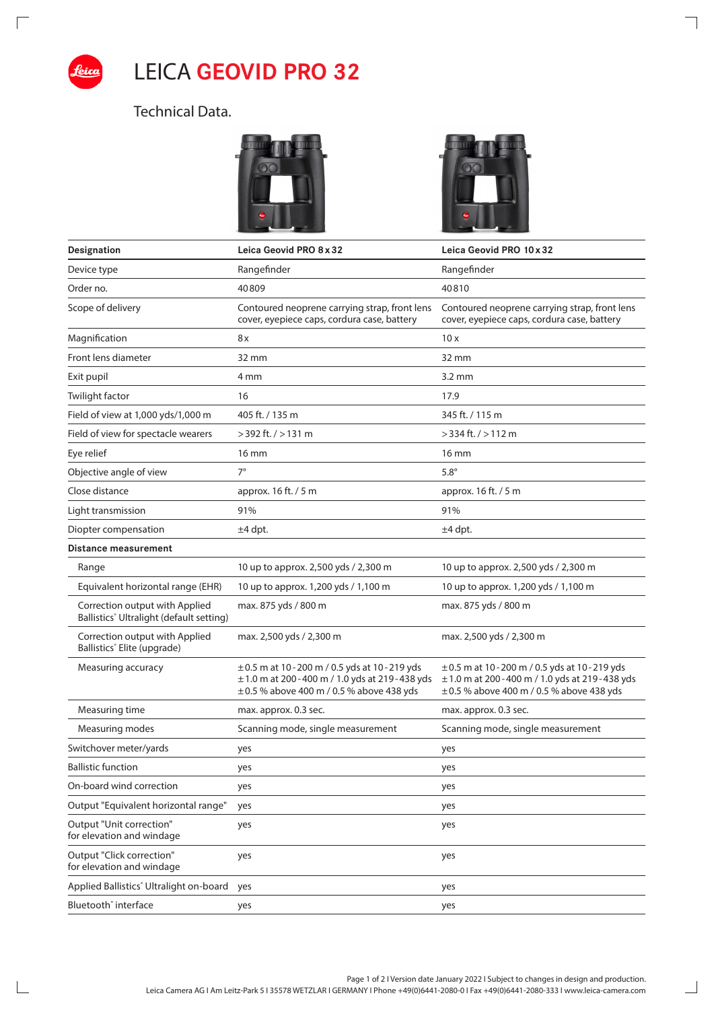

 $\sqrt{2}$ 

 $\mathbb{R}$ 

## LEICA **GEOVID PRO 32**

## Technical Data.





 $\overline{\phantom{a}}$ 

 $\Box$ 

| Designation                                                                | Leica Geovid PRO 8 x 32                                                                                                                             | Leica Geovid PRO 10 x 32                                                                                                                            |
|----------------------------------------------------------------------------|-----------------------------------------------------------------------------------------------------------------------------------------------------|-----------------------------------------------------------------------------------------------------------------------------------------------------|
| Device type                                                                | Rangefinder                                                                                                                                         | Rangefinder                                                                                                                                         |
| Order no.                                                                  | 40809                                                                                                                                               | 40810                                                                                                                                               |
| Scope of delivery                                                          | Contoured neoprene carrying strap, front lens<br>cover, eyepiece caps, cordura case, battery                                                        | Contoured neoprene carrying strap, front lens<br>cover, eyepiece caps, cordura case, battery                                                        |
| Magnification                                                              | 8x                                                                                                                                                  | 10x                                                                                                                                                 |
| Front lens diameter                                                        | 32 mm                                                                                                                                               | 32 mm                                                                                                                                               |
| Exit pupil                                                                 | 4 mm                                                                                                                                                | $3.2 \text{ mm}$                                                                                                                                    |
| Twilight factor                                                            | 16                                                                                                                                                  | 17.9                                                                                                                                                |
| Field of view at 1,000 yds/1,000 m                                         | 405 ft. / 135 m                                                                                                                                     | 345 ft. / 115 m                                                                                                                                     |
| Field of view for spectacle wearers                                        | $>$ 392 ft. $/$ > 131 m                                                                                                                             | $>$ 334 ft. $/$ > 112 m                                                                                                                             |
| Eye relief                                                                 | $16 \text{ mm}$                                                                                                                                     | $16 \text{ mm}$                                                                                                                                     |
| Objective angle of view                                                    | $7^\circ$                                                                                                                                           | $5.8^\circ$                                                                                                                                         |
| Close distance                                                             | approx. 16 ft. / 5 m                                                                                                                                | approx. 16 ft. / 5 m                                                                                                                                |
| Light transmission                                                         | 91%                                                                                                                                                 | 91%                                                                                                                                                 |
| Diopter compensation                                                       | $±4$ dpt.                                                                                                                                           | $±4$ dpt.                                                                                                                                           |
| Distance measurement                                                       |                                                                                                                                                     |                                                                                                                                                     |
| Range                                                                      | 10 up to approx. 2,500 yds / 2,300 m                                                                                                                | 10 up to approx. 2,500 yds / 2,300 m                                                                                                                |
| Equivalent horizontal range (EHR)                                          | 10 up to approx. 1,200 yds / 1,100 m                                                                                                                | 10 up to approx. 1,200 yds / 1,100 m                                                                                                                |
| Correction output with Applied<br>Ballistics® Ultralight (default setting) | max. 875 yds / 800 m                                                                                                                                | max. 875 yds / 800 m                                                                                                                                |
| Correction output with Applied<br>Ballistics <sup>®</sup> Elite (upgrade)  | max. 2,500 yds / 2,300 m                                                                                                                            | max. 2,500 yds / 2,300 m                                                                                                                            |
| Measuring accuracy                                                         | $\pm$ 0.5 m at 10 - 200 m / 0.5 yds at 10 - 219 yds<br>±1.0 m at 200 - 400 m / 1.0 yds at 219 - 438 yds<br>±0.5 % above 400 m / 0.5 % above 438 yds | $\pm$ 0.5 m at 10 - 200 m / 0.5 yds at 10 - 219 yds<br>±1.0 m at 200 - 400 m / 1.0 yds at 219 - 438 yds<br>±0.5 % above 400 m / 0.5 % above 438 yds |
| Measuring time                                                             | max. approx. 0.3 sec.                                                                                                                               | max. approx. 0.3 sec.                                                                                                                               |
| Measuring modes                                                            | Scanning mode, single measurement                                                                                                                   | Scanning mode, single measurement                                                                                                                   |
| Switchover meter/yards                                                     | yes                                                                                                                                                 | yes                                                                                                                                                 |
| <b>Ballistic function</b>                                                  | yes                                                                                                                                                 | yes                                                                                                                                                 |
| On-board wind correction                                                   | yes                                                                                                                                                 | yes                                                                                                                                                 |
| Output "Equivalent horizontal range"                                       | yes                                                                                                                                                 | yes                                                                                                                                                 |
| Output "Unit correction"<br>for elevation and windage                      | yes                                                                                                                                                 | yes                                                                                                                                                 |
| Output "Click correction"<br>for elevation and windage                     | yes                                                                                                                                                 | yes                                                                                                                                                 |
| Applied Ballistics <sup>®</sup> Ultralight on-board                        | yes                                                                                                                                                 | yes                                                                                                                                                 |
| Bluetooth <sup>®</sup> interface                                           | yes                                                                                                                                                 | yes                                                                                                                                                 |